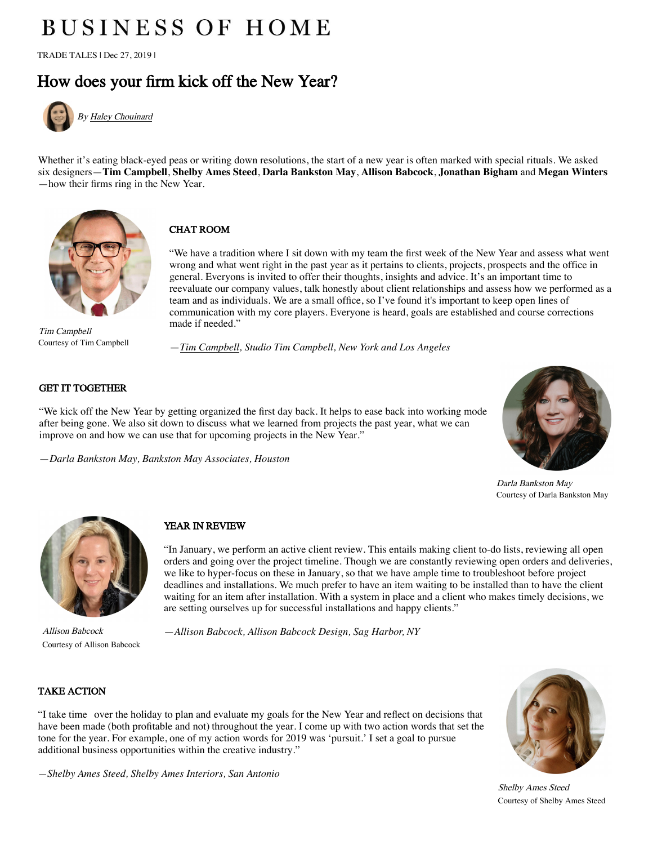# **BUSINESS OF HOME**

TRADE TALES | Dec 27, 2019 |

# [How does your firm kick off the New Year?](https://businessofhome.com/articles/authored_by/Haley-Chouinard)



By [Haley Chouinard](https://businessofhome.com/articles/authored_by/Haley-Chouinard)

Whether it's eating black-eyed peas or writing down resolutions, the start of a new year is often marked with special rituals. We asked six designers—**Tim Campbell**, **Shelby Ames Steed**, **Darla Bankston May**, **Allison Babcock**, **Jonathan Bigham** and **Megan Winters** —how their firms ring in the New Year.



Tim Campbell Courtesy of Tim Campbell

# CHAT ROOM

"We have a tradition where I sit down with my team the first week of the New Year and assess what went wrong and what went right in the past year as it pertains to clients, projects, prospects and the office in general. Everyons is invited to offer their thoughts, insights and advice. It's an important time to reevaluate our company values, talk honestly about client relationships and assess how we performed as a team and as individuals. We are a small office, so I've found it's important to keep open lines of communication with my core players. Everyone is heard, goals are established and course corrections made if needed."

—*Tim Campbell, Studio Tim Campbell, New York and Los Angeles*

#### GET IT TOGETHER

"We kick off the New Year by getting organized the first day back. It helps to ease back into working mode after being gone. We also sit down to discuss what we learned from projects the past year, what we can improve on and how we can use that for upcoming projects in the New Year."

—*Darla Bankston May, Bankston May Associates, Houston*



Darla Bankston May Courtesy of Darla Bankston May



Courtesy of Allison Babcock

## YEAR IN REVIEW

"In January, we perform an active client review. This entails making client to-do lists, reviewing all open orders and going over the project timeline. Though we are constantly reviewing open orders and deliveries, we like to hyper-focus on these in January, so that we have ample time to troubleshoot before project deadlines and installations. We much prefer to have an item waiting to be installed than to have the client waiting for an item after installation. With a system in place and a client who makes timely decisions, we are setting ourselves up for successful installations and happy clients."

Allison Babcock —*Allison Babcock, Allison Babcock Design, Sag Harbor, NY*

### TAKE ACTION

"I take time over the holiday to plan and evaluate my goals for the New Year and reflect on decisions that have been made (both profitable and not) throughout the year. I come up with two action words that set the tone for the year. For example, one of my action words for 2019 was 'pursuit.' I set a goal to pursue additional business opportunities within the creative industry."



Shelby Ames Steed Courtesy of Shelby Ames Steed

*—Shelby Ames Steed, Shelby Ames Interiors, San Antonio*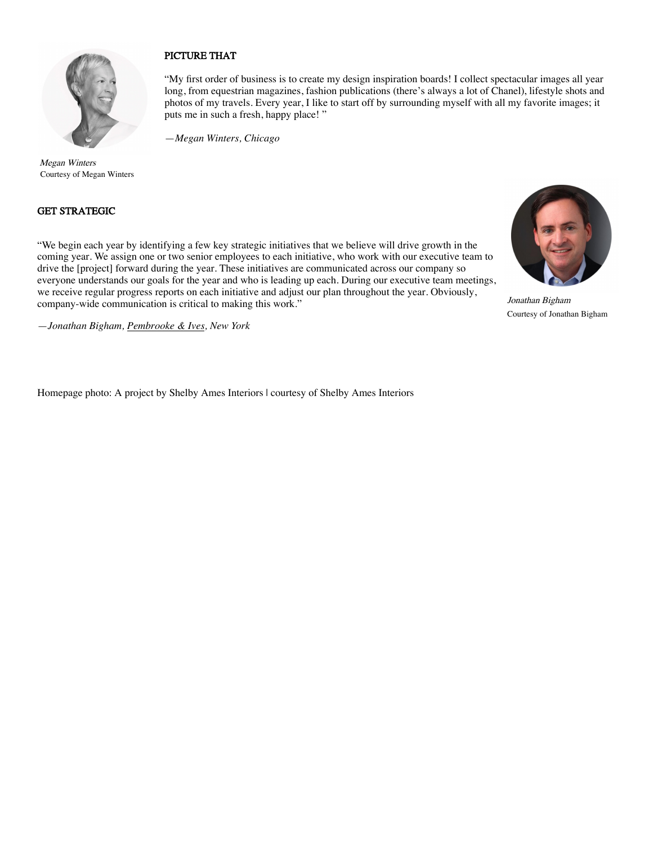

#### PICTURE THAT

"My first order of business is to create my design inspiration boards! I collect spectacular images all year long, from equestrian magazines, fashion publications (there's always a lot of Chanel), lifestyle shots and photos of my travels. Every year, I like to start off by surrounding myself with all my favorite images; it puts me in such a fresh, happy place! "

—*Megan Winters, Chicago*

Megan Winters Courtesy of Megan Winters

#### GET STRATEGIC

"We begin each year by identifying a few key strategic initiatives that we believe will drive growth in the coming year. We assign one or two senior employees to each initiative, who work with our executive team to drive the [project] forward during the year. These initiatives are communicated across our company so everyone understands our goals for the year and who is leading up each. During our executive team meetings, we receive regular progress reports on each initiative and adjust our plan throughout the year. Obviously, company-wide communication is critical to making this work."

—*Jonathan Bigham, Pembrooke & Ives, New York*

Homepage photo: A project by Shelby Ames Interiors | courtesy of Shelby Ames Interiors



Jonathan Bigham Courtesy of Jonathan Bigham